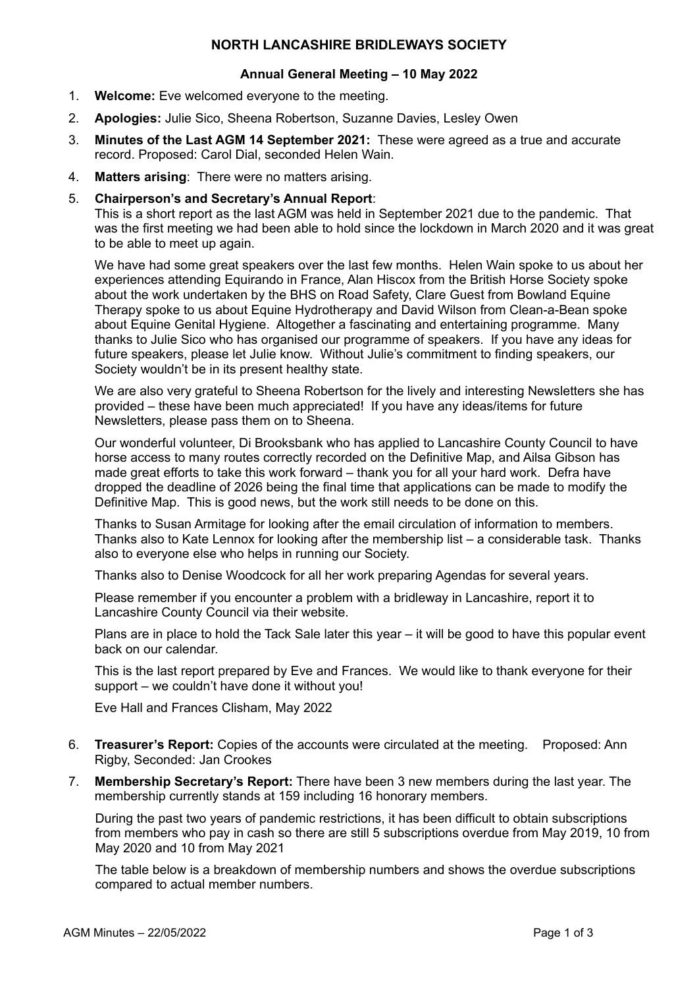# **NORTH LANCASHIRE BRIDLEWAYS SOCIETY**

#### **Annual General Meeting – 10 May 2022**

- 1. **Welcome:** Eve welcomed everyone to the meeting.
- 2. **Apologies:** Julie Sico, Sheena Robertson, Suzanne Davies, Lesley Owen
- 3. **Minutes of the Last AGM 14 September 2021:** These were agreed as a true and accurate record. Proposed: Carol Dial, seconded Helen Wain.
- 4. **Matters arising**: There were no matters arising.

# 5. **Chairperson's and Secretary's Annual Report**:

This is a short report as the last AGM was held in September 2021 due to the pandemic. That was the first meeting we had been able to hold since the lockdown in March 2020 and it was great to be able to meet up again.

We have had some great speakers over the last few months. Helen Wain spoke to us about her experiences attending Equirando in France, Alan Hiscox from the British Horse Society spoke about the work undertaken by the BHS on Road Safety, Clare Guest from Bowland Equine Therapy spoke to us about Equine Hydrotherapy and David Wilson from Clean-a-Bean spoke about Equine Genital Hygiene. Altogether a fascinating and entertaining programme. Many thanks to Julie Sico who has organised our programme of speakers. If you have any ideas for future speakers, please let Julie know. Without Julie's commitment to finding speakers, our Society wouldn't be in its present healthy state.

We are also very grateful to Sheena Robertson for the lively and interesting Newsletters she has provided – these have been much appreciated! If you have any ideas/items for future Newsletters, please pass them on to Sheena.

Our wonderful volunteer, Di Brooksbank who has applied to Lancashire County Council to have horse access to many routes correctly recorded on the Definitive Map, and Ailsa Gibson has made great efforts to take this work forward – thank you for all your hard work. Defra have dropped the deadline of 2026 being the final time that applications can be made to modify the Definitive Map. This is good news, but the work still needs to be done on this.

Thanks to Susan Armitage for looking after the email circulation of information to members. Thanks also to Kate Lennox for looking after the membership list – a considerable task. Thanks also to everyone else who helps in running our Society.

Thanks also to Denise Woodcock for all her work preparing Agendas for several years.

Please remember if you encounter a problem with a bridleway in Lancashire, report it to Lancashire County Council via their website.

Plans are in place to hold the Tack Sale later this year – it will be good to have this popular event back on our calendar.

This is the last report prepared by Eve and Frances. We would like to thank everyone for their support – we couldn't have done it without you!

Eve Hall and Frances Clisham, May 2022

- 6. **Treasurer's Report:** Copies of the accounts were circulated at the meeting. Proposed: Ann Rigby, Seconded: Jan Crookes
- 7. **Membership Secretary's Report:** There have been 3 new members during the last year. The membership currently stands at 159 including 16 honorary members.

During the past two years of pandemic restrictions, it has been difficult to obtain subscriptions from members who pay in cash so there are still 5 subscriptions overdue from May 2019, 10 from May 2020 and 10 from May 2021

The table below is a breakdown of membership numbers and shows the overdue subscriptions compared to actual member numbers.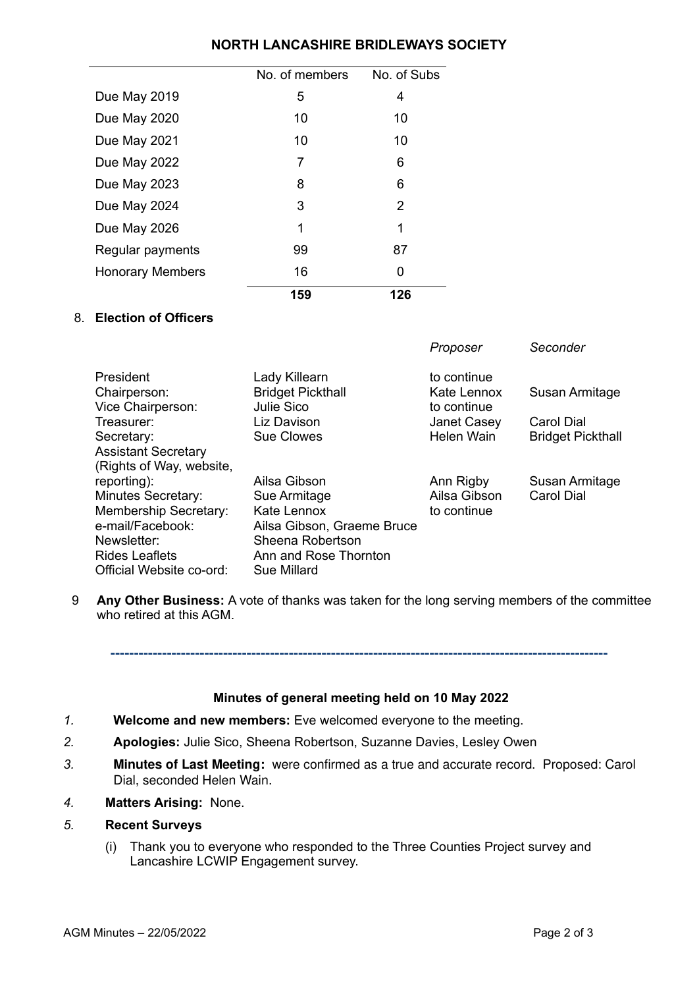# **NORTH LANCASHIRE BRIDLEWAYS SOCIETY**

|                         | No. of members | No. of Subs |
|-------------------------|----------------|-------------|
| Due May 2019            | 5              | 4           |
| Due May 2020            | 10             | 10          |
| Due May 2021            | 10             | 10          |
| Due May 2022            | 7              | 6           |
| Due May 2023            | 8              | 6           |
| Due May 2024            | 3              | 2           |
| Due May 2026            | 1              | 1           |
| Regular payments        | 99             | 87          |
| <b>Honorary Members</b> | 16             | 0           |
|                         | 159            | 126         |

# 8. **Election of Officers**

|                            |                            | Proposer     | Seconder                 |
|----------------------------|----------------------------|--------------|--------------------------|
| President                  | Lady Killearn              | to continue  |                          |
| Chairperson:               | <b>Bridget Pickthall</b>   | Kate Lennox  | Susan Armitage           |
| Vice Chairperson:          | Julie Sico                 | to continue  |                          |
| Treasurer:                 | Liz Davison                | Janet Casey  | Carol Dial               |
| Secretary:                 | <b>Sue Clowes</b>          | Helen Wain   | <b>Bridget Pickthall</b> |
| <b>Assistant Secretary</b> |                            |              |                          |
| (Rights of Way, website,   |                            |              |                          |
| reporting):                | Ailsa Gibson               | Ann Rigby    | Susan Armitage           |
| <b>Minutes Secretary:</b>  | Sue Armitage               | Ailsa Gibson | Carol Dial               |
| Membership Secretary:      | Kate Lennox                | to continue  |                          |
| e-mail/Facebook:           | Ailsa Gibson, Graeme Bruce |              |                          |
| Newsletter:                | Sheena Robertson           |              |                          |
| <b>Rides Leaflets</b>      | Ann and Rose Thornton      |              |                          |
| Official Website co-ord:   | Sue Millard                |              |                          |

9 **Any Other Business:** A vote of thanks was taken for the long serving members of the committee who retired at this AGM.

**----------------------------------------------------------------------------------------------------------**

### **Minutes of general meeting held on 10 May 2022**

- *1.* **Welcome and new members:** Eve welcomed everyone to the meeting.
- *2.* **Apologies:** Julie Sico, Sheena Robertson, Suzanne Davies, Lesley Owen
- *3.* **Minutes of Last Meeting:** were confirmed as a true and accurate record. Proposed: Carol Dial, seconded Helen Wain.
- *4.* **Matters Arising:** None.

# *5.* **Recent Surveys**

(i) Thank you to everyone who responded to the Three Counties Project survey and Lancashire LCWIP Engagement survey.